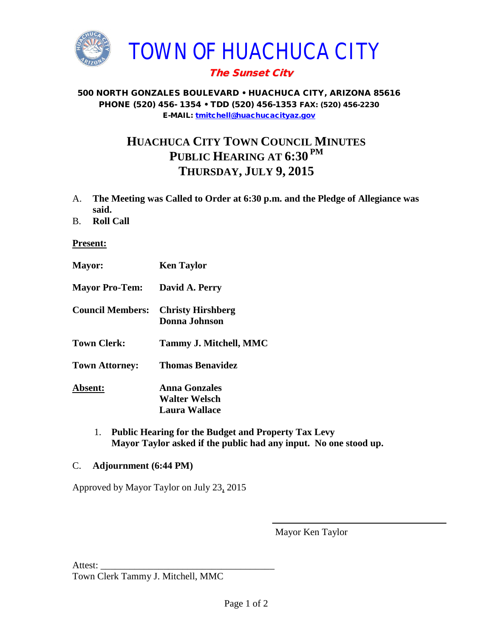

## The Sunset City

#### 500 NORTH GONZALES BOULEVARD • HUACHUCA CITY, ARIZONA 85616 PHONE (520) 456- 1354 • TDD (520) 456-1353 FAX: (520) 456-2230 E-MAIL: [tmitchell@huachucacityaz.gov](mailto:tmitchell@huachucacityaz.gov)

# **HUACHUCA CITY TOWN COUNCIL MINUTES PUBLIC HEARING AT 6:30 PM THURSDAY, JULY 9, 2015**

- A. **The Meeting was Called to Order at 6:30 p.m. and the Pledge of Allegiance was said.**
- B. **Roll Call**

### **Present:**

- **Mayor: Ken Taylor Mayor Pro-Tem: David A. Perry Council Members: Christy Hirshberg Donna Johnson Town Clerk: Tammy J. Mitchell, MMC Town Attorney: Thomas Benavidez Absent: Anna Gonzales Walter Welsch Laura Wallace**
	- 1. **Public Hearing for the Budget and Property Tax Levy Mayor Taylor asked if the public had any input. No one stood up.**

### C. **Adjournment (6:44 PM)**

Approved by Mayor Taylor on July 23, 2015

Mayor Ken Taylor

Attest:

Town Clerk Tammy J. Mitchell, MMC